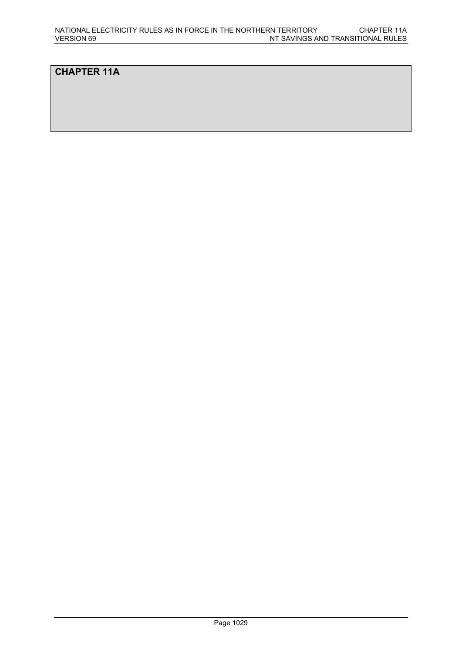# **CHAPTER 11A**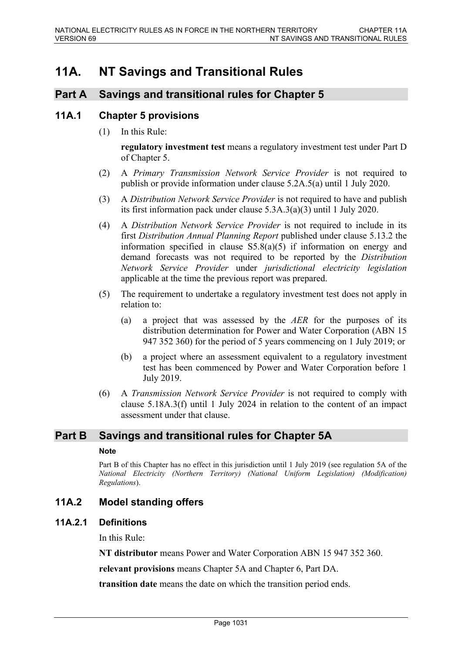# **11A. NT Savings and Transitional Rules**

# **Part A Savings and transitional rules for Chapter 5**

### **11A.1 Chapter 5 provisions**

(1) In this Rule:

**regulatory investment test** means a regulatory investment test under Part D of Chapter 5.

- (2) A *Primary Transmission Network Service Provider* is not required to publish or provide information under clause 5.2A.5(a) until 1 July 2020.
- (3) A *Distribution Network Service Provider* is not required to have and publish its first information pack under clause 5.3A.3(a)(3) until 1 July 2020.
- (4) A *Distribution Network Service Provider* is not required to include in its first *Distribution Annual Planning Report* published under clause 5.13.2 the information specified in clause S5.8(a)(5) if information on energy and demand forecasts was not required to be reported by the *Distribution Network Service Provider* under *jurisdictional electricity legislation* applicable at the time the previous report was prepared.
- (5) The requirement to undertake a regulatory investment test does not apply in relation to:
	- (a) a project that was assessed by the *AER* for the purposes of its distribution determination for Power and Water Corporation (ABN 15 947 352 360) for the period of 5 years commencing on 1 July 2019; or
	- (b) a project where an assessment equivalent to a regulatory investment test has been commenced by Power and Water Corporation before 1 July 2019.
- (6) A *Transmission Network Service Provider* is not required to comply with clause 5.18A.3(f) until 1 July 2024 in relation to the content of an impact assessment under that clause.

### **Part B Savings and transitional rules for Chapter 5A**

#### **Note**

Part B of this Chapter has no effect in this jurisdiction until 1 July 2019 (see regulation 5A of the *National Electricity (Northern Territory) (National Uniform Legislation) (Modification) Regulations*).

## **11A.2 Model standing offers**

#### **11A.2.1 Definitions**

In this Rule:

**NT distributor** means Power and Water Corporation ABN 15 947 352 360.

**relevant provisions** means Chapter 5A and Chapter 6, Part DA.

**transition date** means the date on which the transition period ends.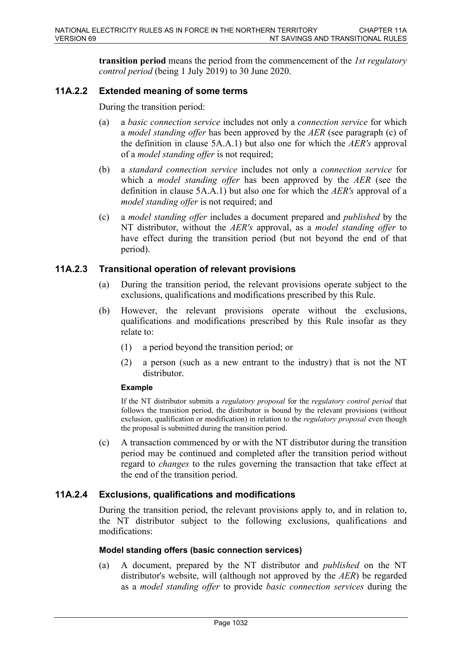**transition period** means the period from the commencement of the *1st regulatory control period* (being 1 July 2019) to 30 June 2020.

### **11A.2.2 Extended meaning of some terms**

During the transition period:

- (a) a *basic connection service* includes not only a *connection service* for which a *model standing offer* has been approved by the *AER* (see paragraph (c) of the definition in clause 5A.A.1) but also one for which the *AER's* approval of a *model standing offer* is not required;
- (b) a *standard connection service* includes not only a *connection service* for which a *model standing offer* has been approved by the *AER* (see the definition in clause 5A.A.1) but also one for which the *AER's* approval of a *model standing offer* is not required; and
- (c) a *model standing offer* includes a document prepared and *published* by the NT distributor, without the *AER's* approval, as a *model standing offer* to have effect during the transition period (but not beyond the end of that period).

### **11A.2.3 Transitional operation of relevant provisions**

- (a) During the transition period, the relevant provisions operate subject to the exclusions, qualifications and modifications prescribed by this Rule.
- (b) However, the relevant provisions operate without the exclusions, qualifications and modifications prescribed by this Rule insofar as they relate to:
	- (1) a period beyond the transition period; or
	- (2) a person (such as a new entrant to the industry) that is not the NT distributor.

#### **Example**

If the NT distributor submits a *regulatory proposal* for the *regulatory control period* that follows the transition period, the distributor is bound by the relevant provisions (without exclusion, qualification or modification) in relation to the *regulatory proposal* even though the proposal is submitted during the transition period.

(c) A transaction commenced by or with the NT distributor during the transition period may be continued and completed after the transition period without regard to *changes* to the rules governing the transaction that take effect at the end of the transition period.

### **11A.2.4 Exclusions, qualifications and modifications**

During the transition period, the relevant provisions apply to, and in relation to, the NT distributor subject to the following exclusions, qualifications and modifications:

#### **Model standing offers (basic connection services)**

(a) A document, prepared by the NT distributor and *published* on the NT distributor's website, will (although not approved by the *AER*) be regarded as a *model standing offer* to provide *basic connection services* during the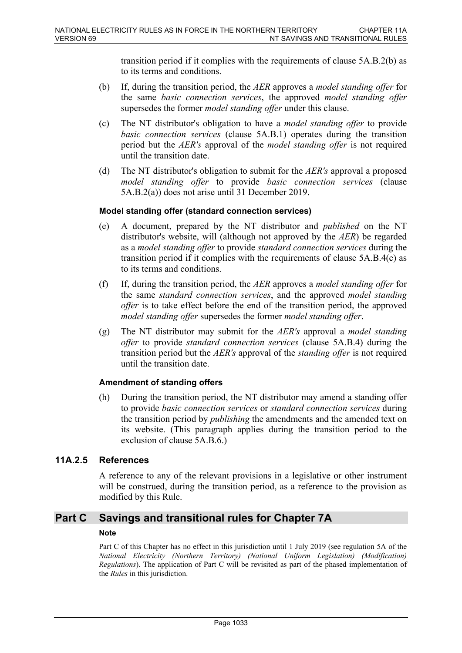transition period if it complies with the requirements of clause 5A.B.2(b) as to its terms and conditions.

- (b) If, during the transition period, the *AER* approves a *model standing offer* for the same *basic connection services*, the approved *model standing offer* supersedes the former *model standing offer* under this clause.
- (c) The NT distributor's obligation to have a *model standing offer* to provide *basic connection services* (clause 5A.B.1) operates during the transition period but the *AER's* approval of the *model standing offer* is not required until the transition date.
- (d) The NT distributor's obligation to submit for the *AER's* approval a proposed *model standing offer* to provide *basic connection services* (clause 5A.B.2(a)) does not arise until 31 December 2019.

#### **Model standing offer (standard connection services)**

- (e) A document, prepared by the NT distributor and *published* on the NT distributor's website, will (although not approved by the *AER*) be regarded as a *model standing offer* to provide *standard connection services* during the transition period if it complies with the requirements of clause 5A.B.4(c) as to its terms and conditions.
- (f) If, during the transition period, the *AER* approves a *model standing offer* for the same *standard connection services*, and the approved *model standing offer* is to take effect before the end of the transition period, the approved *model standing offer* supersedes the former *model standing offer*.
- (g) The NT distributor may submit for the *AER's* approval a *model standing offer* to provide *standard connection services* (clause 5A.B.4) during the transition period but the *AER's* approval of the *standing offer* is not required until the transition date.

#### **Amendment of standing offers**

(h) During the transition period, the NT distributor may amend a standing offer to provide *basic connection services* or *standard connection services* during the transition period by *publishing* the amendments and the amended text on its website. (This paragraph applies during the transition period to the exclusion of clause 5A.B.6.)

### **11A.2.5 References**

A reference to any of the relevant provisions in a legislative or other instrument will be construed, during the transition period, as a reference to the provision as modified by this Rule.

## **Part C Savings and transitional rules for Chapter 7A**

#### **Note**

Part C of this Chapter has no effect in this jurisdiction until 1 July 2019 (see regulation 5A of the *National Electricity (Northern Territory) (National Uniform Legislation) (Modification) Regulations*). The application of Part C will be revisited as part of the phased implementation of the *Rules* in this jurisdiction.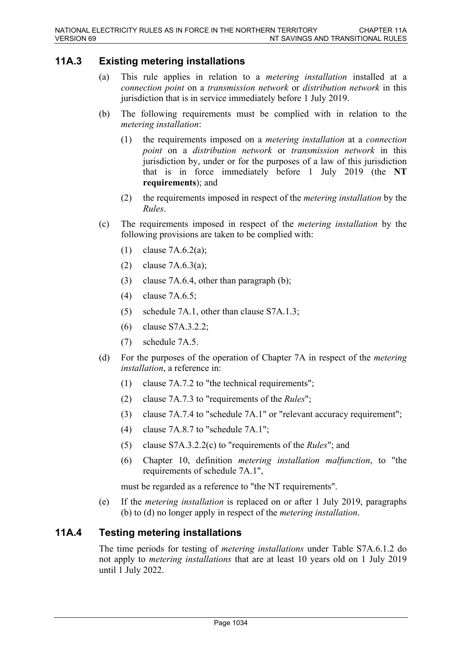# **11A.3 Existing metering installations**

- (a) This rule applies in relation to a *metering installation* installed at a *connection point* on a *transmission network* or *distribution network* in this jurisdiction that is in service immediately before 1 July 2019.
- (b) The following requirements must be complied with in relation to the *metering installation*:
	- (1) the requirements imposed on a *metering installation* at a *connection point* on a *distribution network* or *transmission network* in this jurisdiction by, under or for the purposes of a law of this jurisdiction that is in force immediately before 1 July 2019 (the **NT requirements**); and
	- (2) the requirements imposed in respect of the *metering installation* by the *Rules*.
- (c) The requirements imposed in respect of the *metering installation* by the following provisions are taken to be complied with:
	- (1) clause 7A.6.2(a);
	- (2) clause 7A.6.3(a);
	- (3) clause 7A.6.4, other than paragraph (b);
	- (4) clause 7A.6.5;
	- (5) schedule 7A.1, other than clause S7A.1.3;
	- (6) clause S7A.3.2.2;
	- (7) schedule 7A.5.
- (d) For the purposes of the operation of Chapter 7A in respect of the *metering installation*, a reference in:
	- (1) clause 7A.7.2 to "the technical requirements";
	- (2) clause 7A.7.3 to "requirements of the *Rules*";
	- (3) clause 7A.7.4 to "schedule 7A.1" or "relevant accuracy requirement";
	- (4) clause 7A.8.7 to "schedule 7A.1";
	- (5) clause S7A.3.2.2(c) to "requirements of the *Rules*"; and
	- (6) Chapter 10, definition *metering installation malfunction*, to "the requirements of schedule 7A.1",

must be regarded as a reference to "the NT requirements".

(e) If the *metering installation* is replaced on or after 1 July 2019, paragraphs (b) to (d) no longer apply in respect of the *metering installation*.

## **11A.4 Testing metering installations**

The time periods for testing of *metering installations* under Table S7A.6.1.2 do not apply to *metering installations* that are at least 10 years old on 1 July 2019 until 1 July 2022.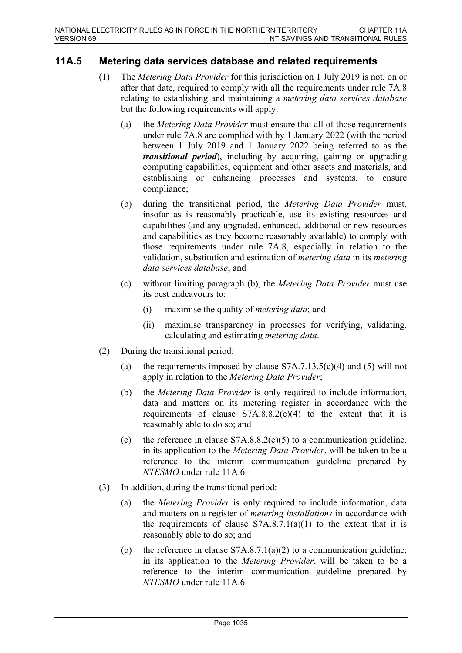# **11A.5 Metering data services database and related requirements**

- (1) The *Metering Data Provider* for this jurisdiction on 1 July 2019 is not, on or after that date, required to comply with all the requirements under rule 7A.8 relating to establishing and maintaining a *metering data services database* but the following requirements will apply:
	- (a) the *Metering Data Provider* must ensure that all of those requirements under rule 7A.8 are complied with by 1 January 2022 (with the period between 1 July 2019 and 1 January 2022 being referred to as the *transitional period*), including by acquiring, gaining or upgrading computing capabilities, equipment and other assets and materials, and establishing or enhancing processes and systems, to ensure compliance;
	- (b) during the transitional period, the *Metering Data Provider* must, insofar as is reasonably practicable, use its existing resources and capabilities (and any upgraded, enhanced, additional or new resources and capabilities as they become reasonably available) to comply with those requirements under rule 7A.8, especially in relation to the validation, substitution and estimation of *metering data* in its *metering data services database*; and
	- (c) without limiting paragraph (b), the *Metering Data Provider* must use its best endeavours to:
		- (i) maximise the quality of *metering data*; and
		- (ii) maximise transparency in processes for verifying, validating, calculating and estimating *metering data*.
- (2) During the transitional period:
	- (a) the requirements imposed by clause  $S7A.7.13.5(c)(4)$  and (5) will not apply in relation to the *Metering Data Provider*;
	- (b) the *Metering Data Provider* is only required to include information, data and matters on its metering register in accordance with the requirements of clause S7A.8.8.2(e)(4) to the extent that it is reasonably able to do so; and
	- (c) the reference in clause  $S7A.8.8.2(e)(5)$  to a communication guideline, in its application to the *Metering Data Provider*, will be taken to be a reference to the interim communication guideline prepared by *NTESMO* under rule 11A.6.
- (3) In addition, during the transitional period:
	- (a) the *Metering Provider* is only required to include information, data and matters on a register of *metering installations* in accordance with the requirements of clause  $S7A.8.7.1(a)(1)$  to the extent that it is reasonably able to do so; and
	- (b) the reference in clause S7A.8.7.1(a)(2) to a communication guideline, in its application to the *Metering Provider*, will be taken to be a reference to the interim communication guideline prepared by *NTESMO* under rule 11A.6.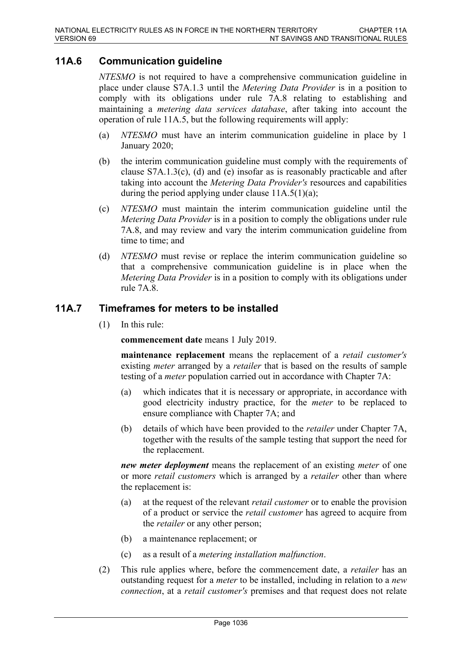# **11A.6 Communication guideline**

*NTESMO* is not required to have a comprehensive communication guideline in place under clause S7A.1.3 until the *Metering Data Provider* is in a position to comply with its obligations under rule 7A.8 relating to establishing and maintaining a *metering data services database*, after taking into account the operation of rule 11A.5, but the following requirements will apply:

- (a) *NTESMO* must have an interim communication guideline in place by 1 January 2020;
- (b) the interim communication guideline must comply with the requirements of clause  $S7A.1.3(c)$ , (d) and (e) insofar as is reasonably practicable and after taking into account the *Metering Data Provider's* resources and capabilities during the period applying under clause  $11A.5(1)(a)$ ;
- (c) *NTESMO* must maintain the interim communication guideline until the *Metering Data Provider* is in a position to comply the obligations under rule 7A.8, and may review and vary the interim communication guideline from time to time; and
- (d) *NTESMO* must revise or replace the interim communication guideline so that a comprehensive communication guideline is in place when the *Metering Data Provider* is in a position to comply with its obligations under rule 7A.8.

## **11A.7 Timeframes for meters to be installed**

(1) In this rule:

**commencement date** means 1 July 2019.

**maintenance replacement** means the replacement of a *retail customer's* existing *meter* arranged by a *retailer* that is based on the results of sample testing of a *meter* population carried out in accordance with Chapter 7A:

- (a) which indicates that it is necessary or appropriate, in accordance with good electricity industry practice, for the *meter* to be replaced to ensure compliance with Chapter 7A; and
- (b) details of which have been provided to the *retailer* under Chapter 7A, together with the results of the sample testing that support the need for the replacement.

*new meter deployment* means the replacement of an existing *meter* of one or more *retail customers* which is arranged by a *retailer* other than where the replacement is:

- (a) at the request of the relevant *retail customer* or to enable the provision of a product or service the *retail customer* has agreed to acquire from the *retailer* or any other person;
- (b) a maintenance replacement; or
- (c) as a result of a *metering installation malfunction*.
- (2) This rule applies where, before the commencement date, a *retailer* has an outstanding request for a *meter* to be installed, including in relation to a *new connection*, at a *retail customer's* premises and that request does not relate